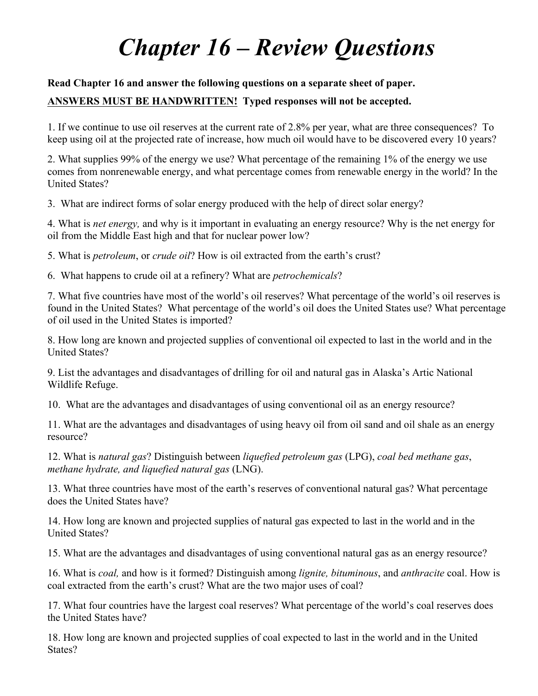## *Chapter 16 – Review Questions*

## **Read Chapter 16 and answer the following questions on a separate sheet of paper.**

## **ANSWERS MUST BE HANDWRITTEN! Typed responses will not be accepted.**

1. If we continue to use oil reserves at the current rate of 2.8% per year, what are three consequences? To keep using oil at the projected rate of increase, how much oil would have to be discovered every 10 years?

2. What supplies 99% of the energy we use? What percentage of the remaining 1% of the energy we use comes from nonrenewable energy, and what percentage comes from renewable energy in the world? In the United States?

3. What are indirect forms of solar energy produced with the help of direct solar energy?

4. What is *net energy,* and why is it important in evaluating an energy resource? Why is the net energy for oil from the Middle East high and that for nuclear power low?

5. What is *petroleum*, or *crude oil*? How is oil extracted from the earth's crust?

6. What happens to crude oil at a refinery? What are *petrochemicals*?

7. What five countries have most of the world's oil reserves? What percentage of the world's oil reserves is found in the United States? What percentage of the world's oil does the United States use? What percentage of oil used in the United States is imported?

8. How long are known and projected supplies of conventional oil expected to last in the world and in the United States?

9. List the advantages and disadvantages of drilling for oil and natural gas in Alaska's Artic National Wildlife Refuge.

10. What are the advantages and disadvantages of using conventional oil as an energy resource?

11. What are the advantages and disadvantages of using heavy oil from oil sand and oil shale as an energy resource?

12. What is *natural gas*? Distinguish between *liquefied petroleum gas* (LPG), *coal bed methane gas*, *methane hydrate, and liquefied natural gas* (LNG).

13. What three countries have most of the earth's reserves of conventional natural gas? What percentage does the United States have?

14. How long are known and projected supplies of natural gas expected to last in the world and in the United States?

15. What are the advantages and disadvantages of using conventional natural gas as an energy resource?

16. What is *coal,* and how is it formed? Distinguish among *lignite, bituminous*, and *anthracite* coal. How is coal extracted from the earth's crust? What are the two major uses of coal?

17. What four countries have the largest coal reserves? What percentage of the world's coal reserves does the United States have?

18. How long are known and projected supplies of coal expected to last in the world and in the United States?